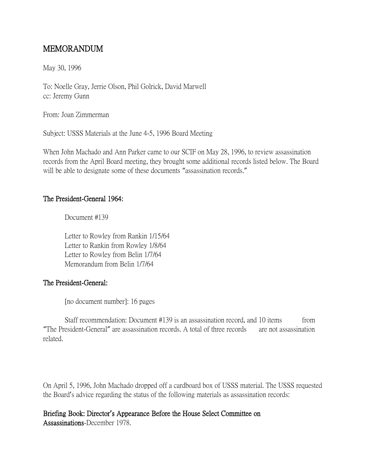## MEMORANDUM

May 30, 1996

To: Noelle Gray, Jerrie Olson, Phil Golrick, David Marwell cc: Jeremy Gunn

From: Joan Zimmerman

Subject: USSS Materials at the June 4-5, 1996 Board Meeting

When John Machado and Ann Parker came to our SCIF on May 28, 1996, to review assassination records from the April Board meeting, they brought some additional records listed below. The Board will be able to designate some of these documents "assassination records."

## The President-General 1964:

Document #139

Letter to Rowley from Rankin 1/15/64 Letter to Rankin from Rowley 1/8/64 Letter to Rowley from Belin 1/7/64 Memorandum from Belin 1/7/64

## The President-General:

[no document number]: 16 pages

Staff recommendation: Document #139 is an assassination record, and 10 items from "The President-General" are assassination records. A total of three records are not assassination related.

On April 5, 1996, John Machado dropped off a cardboard box of USSS material. The USSS requested the Board's advice regarding the status of the following materials as assassination records:

Briefing Book: Director**'**s Appearance Before the House Select Committee on Assassinations-December 1978.